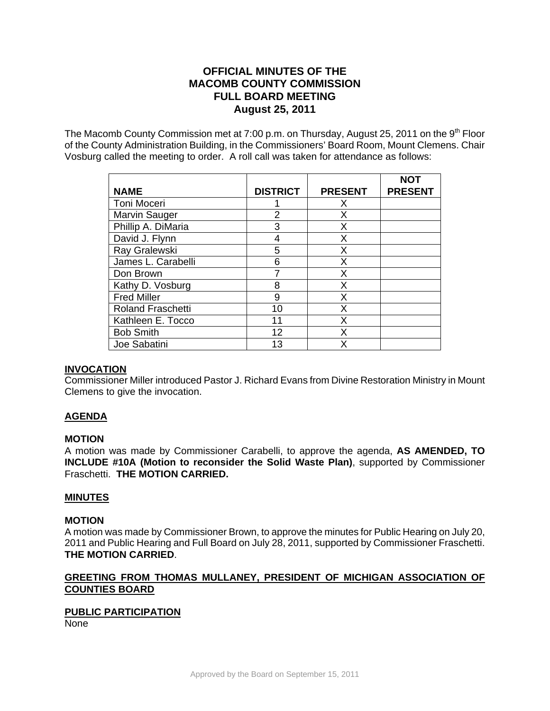# **OFFICIAL MINUTES OF THE MACOMB COUNTY COMMISSION FULL BOARD MEETING August 25, 2011**

The Macomb County Commission met at 7:00 p.m. on Thursday, August 25, 2011 on the 9<sup>th</sup> Floor of the County Administration Building, in the Commissioners' Board Room, Mount Clemens. Chair Vosburg called the meeting to order. A roll call was taken for attendance as follows:

| <b>NAME</b>              | <b>DISTRICT</b> | <b>PRESENT</b> | NOT<br><b>PRESENT</b> |
|--------------------------|-----------------|----------------|-----------------------|
| Toni Moceri              |                 | Х              |                       |
| Marvin Sauger            | $\overline{2}$  | X              |                       |
| Phillip A. DiMaria       | 3               | X              |                       |
| David J. Flynn           | 4               | Х              |                       |
| Ray Gralewski            | 5               | X              |                       |
| James L. Carabelli       | 6               | Х              |                       |
| Don Brown                |                 | Х              |                       |
| Kathy D. Vosburg         | 8               | x              |                       |
| <b>Fred Miller</b>       | 9               | Χ              |                       |
| <b>Roland Fraschetti</b> | 10              | x              |                       |
| Kathleen E. Tocco        | 11              | x              |                       |
| <b>Bob Smith</b>         | 12              | x              |                       |
| Joe Sabatini             | 13              | x              |                       |

#### **INVOCATION**

Commissioner Miller introduced Pastor J. Richard Evans from Divine Restoration Ministry in Mount Clemens to give the invocation.

# **AGENDA**

### **MOTION**

A motion was made by Commissioner Carabelli, to approve the agenda, **AS AMENDED, TO INCLUDE #10A (Motion to reconsider the Solid Waste Plan)**, supported by Commissioner Fraschetti. **THE MOTION CARRIED.** 

#### **MINUTES**

# **MOTION**

A motion was made by Commissioner Brown, to approve the minutes for Public Hearing on July 20, 2011 and Public Hearing and Full Board on July 28, 2011, supported by Commissioner Fraschetti. **THE MOTION CARRIED**.

# **GREETING FROM THOMAS MULLANEY, PRESIDENT OF MICHIGAN ASSOCIATION OF COUNTIES BOARD**

# **PUBLIC PARTICIPATION**

None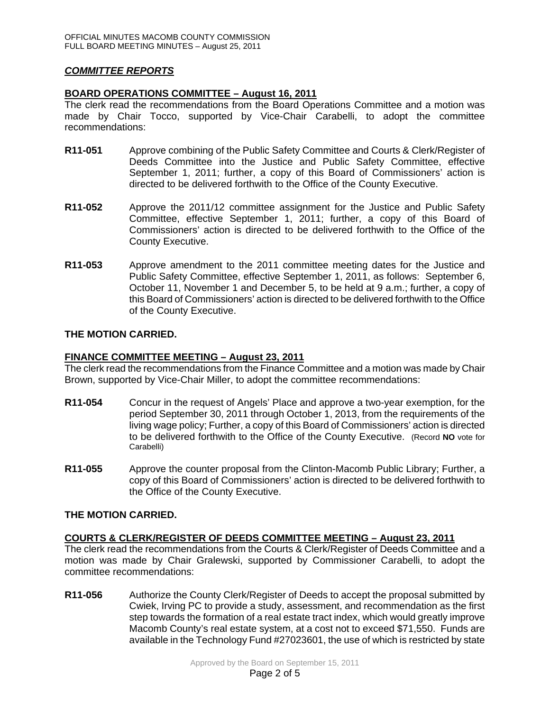# *COMMITTEE REPORTS*

### **BOARD OPERATIONS COMMITTEE – August 16, 2011**

The clerk read the recommendations from the Board Operations Committee and a motion was made by Chair Tocco, supported by Vice-Chair Carabelli, to adopt the committee recommendations:

- **R11-051** Approve combining of the Public Safety Committee and Courts & Clerk/Register of Deeds Committee into the Justice and Public Safety Committee, effective September 1, 2011; further, a copy of this Board of Commissioners' action is directed to be delivered forthwith to the Office of the County Executive.
- **R11-052** Approve the 2011/12 committee assignment for the Justice and Public Safety Committee, effective September 1, 2011; further, a copy of this Board of Commissioners' action is directed to be delivered forthwith to the Office of the County Executive.
- **R11-053** Approve amendment to the 2011 committee meeting dates for the Justice and Public Safety Committee, effective September 1, 2011, as follows: September 6, October 11, November 1 and December 5, to be held at 9 a.m.; further, a copy of this Board of Commissioners' action is directed to be delivered forthwith to the Office of the County Executive.

### **THE MOTION CARRIED.**

### **FINANCE COMMITTEE MEETING – August 23, 2011**

The clerk read the recommendations from the Finance Committee and a motion was made by Chair Brown, supported by Vice-Chair Miller, to adopt the committee recommendations:

- **R11-054** Concur in the request of Angels' Place and approve a two-year exemption, for the period September 30, 2011 through October 1, 2013, from the requirements of the living wage policy; Further, a copy of this Board of Commissioners' action is directed to be delivered forthwith to the Office of the County Executive. (Record **NO** vote for Carabelli)
- **R11-055** Approve the counter proposal from the Clinton-Macomb Public Library; Further, a copy of this Board of Commissioners' action is directed to be delivered forthwith to the Office of the County Executive.

# **THE MOTION CARRIED.**

#### **COURTS & CLERK/REGISTER OF DEEDS COMMITTEE MEETING – August 23, 2011**

The clerk read the recommendations from the Courts & Clerk/Register of Deeds Committee and a motion was made by Chair Gralewski, supported by Commissioner Carabelli, to adopt the committee recommendations:

**R11-056** Authorize the County Clerk/Register of Deeds to accept the proposal submitted by Cwiek, Irving PC to provide a study, assessment, and recommendation as the first step towards the formation of a real estate tract index, which would greatly improve Macomb County's real estate system, at a cost not to exceed \$71,550. Funds are available in the Technology Fund #27023601, the use of which is restricted by state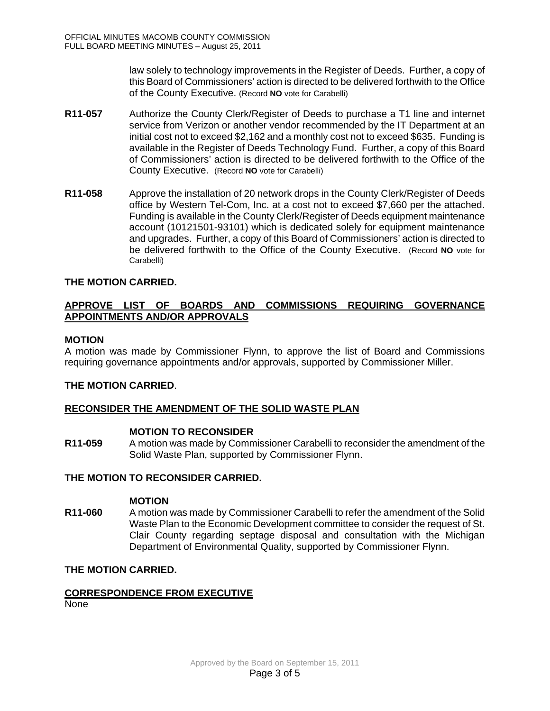law solely to technology improvements in the Register of Deeds. Further, a copy of this Board of Commissioners' action is directed to be delivered forthwith to the Office of the County Executive. (Record **NO** vote for Carabelli)

- **R11-057** Authorize the County Clerk/Register of Deeds to purchase a T1 line and internet service from Verizon or another vendor recommended by the IT Department at an initial cost not to exceed \$2,162 and a monthly cost not to exceed \$635. Funding is available in the Register of Deeds Technology Fund. Further, a copy of this Board of Commissioners' action is directed to be delivered forthwith to the Office of the County Executive. (Record **NO** vote for Carabelli)
- **R11-058** Approve the installation of 20 network drops in the County Clerk/Register of Deeds office by Western Tel-Com, Inc. at a cost not to exceed \$7,660 per the attached. Funding is available in the County Clerk/Register of Deeds equipment maintenance account (10121501-93101) which is dedicated solely for equipment maintenance and upgrades. Further, a copy of this Board of Commissioners' action is directed to be delivered forthwith to the Office of the County Executive. (Record **NO** vote for Carabelli)

# **THE MOTION CARRIED.**

# **APPROVE LIST OF BOARDS AND COMMISSIONS REQUIRING GOVERNANCE APPOINTMENTS AND/OR APPROVALS**

# **MOTION**

A motion was made by Commissioner Flynn, to approve the list of Board and Commissions requiring governance appointments and/or approvals, supported by Commissioner Miller.

# **THE MOTION CARRIED**.

# **RECONSIDER THE AMENDMENT OF THE SOLID WASTE PLAN**

#### **MOTION TO RECONSIDER**

**R11-059** A motion was made by Commissioner Carabelli to reconsider the amendment of the Solid Waste Plan, supported by Commissioner Flynn.

#### **THE MOTION TO RECONSIDER CARRIED.**

#### **MOTION**

**R11-060** A motion was made by Commissioner Carabelli to refer the amendment of the Solid Waste Plan to the Economic Development committee to consider the request of St. Clair County regarding septage disposal and consultation with the Michigan Department of Environmental Quality, supported by Commissioner Flynn.

### **THE MOTION CARRIED.**

# **CORRESPONDENCE FROM EXECUTIVE**

None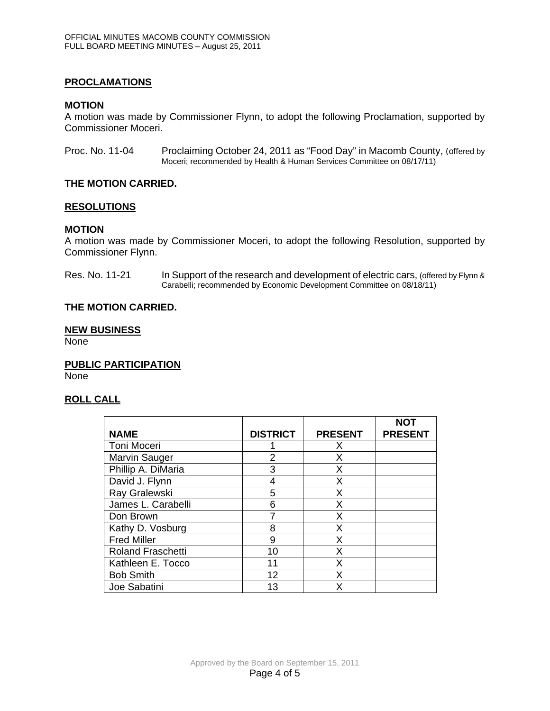# **PROCLAMATIONS**

### **MOTION**

A motion was made by Commissioner Flynn, to adopt the following Proclamation, supported by Commissioner Moceri.

Proc. No. 11-04 Proclaiming October 24, 2011 as "Food Day" in Macomb County, (offered by Moceri; recommended by Health & Human Services Committee on 08/17/11)

### **THE MOTION CARRIED.**

### **RESOLUTIONS**

### **MOTION**

A motion was made by Commissioner Moceri, to adopt the following Resolution, supported by Commissioner Flynn.

Res. No. 11-21 In Support of the research and development of electric cars, (offered by Flynn & Carabelli; recommended by Economic Development Committee on 08/18/11)

### **THE MOTION CARRIED.**

#### **NEW BUSINESS**

None

**PUBLIC PARTICIPATION** None

# **ROLL CALL**

|                          |                 |                | <b>NOT</b>     |
|--------------------------|-----------------|----------------|----------------|
| <b>NAME</b>              | <b>DISTRICT</b> | <b>PRESENT</b> | <b>PRESENT</b> |
| Toni Moceri              |                 | Х              |                |
| Marvin Sauger            | 2               | X              |                |
| Phillip A. DiMaria       | 3               | X              |                |
| David J. Flynn           |                 | Х              |                |
| Ray Gralewski            | 5               | X              |                |
| James L. Carabelli       | 6               | x              |                |
| Don Brown                |                 | X              |                |
| Kathy D. Vosburg         | 8               | Χ              |                |
| <b>Fred Miller</b>       | 9               | X              |                |
| <b>Roland Fraschetti</b> | 10              | x              |                |
| Kathleen E. Tocco        | 11              | X              |                |
| <b>Bob Smith</b>         | 12              | x              |                |
| Joe Sabatini             | 13              | x              |                |